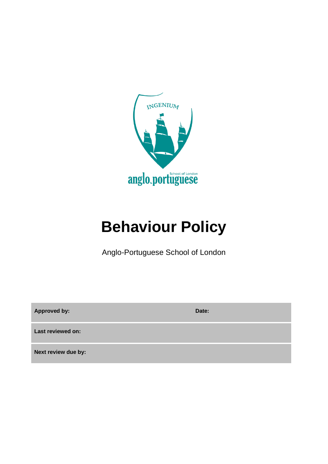

# **Behaviour Policy**

Anglo-Portuguese School of London

**Approved by: Date: Last reviewed on: Next review due by:**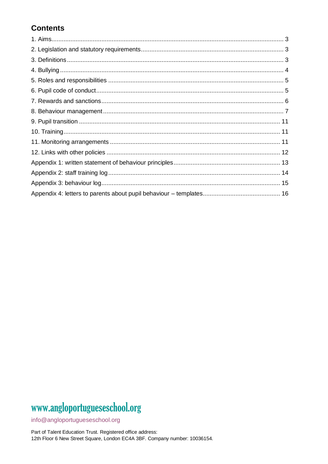## **Contents**

# www.angloportugueseschool.org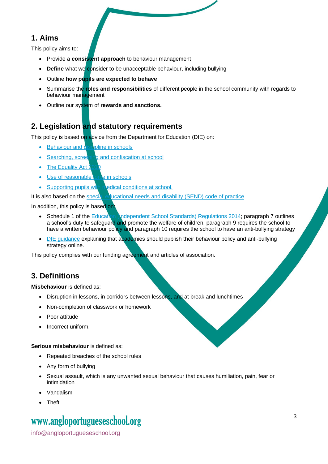### **1. Aims**

This policy aims to:

- Provide a **consistent approach** to behaviour management
- **Define** what we consider to be unacceptable behaviour, including bullying
- Outline **how pupils are expected to behave**
- Summarise the **roles and responsibilities** of different people in the school community with regards to behaviour management
- Outline our system of **rewards and sanctions.**

## **2. Legislation and statutory requirements**

This policy is based on advice from the Department for Education (DfE) on:

- [Behaviour and discipline in schools](https://www.gov.uk/government/publications/behaviour-and-discipline-in-schools)
- [Searching, screening and confiscation at school](https://www.gov.uk/government/publications/searching-screening-and-confiscation)
- $\bullet$  The Equality Act:
- [Use of reasonable force in schools](https://www.gov.uk/government/publications/use-of-reasonable-force-in-schools)
- [Supporting pupils with medical conditions at](https://www.gov.uk/government/publications/supporting-pupils-at-school-with-medical-conditions--3) school.

It is also based on the [special educational needs and disability \(SEND\) code of practice.](https://www.gov.uk/government/publications/send-code-of-practice-0-to-25)

In addition, this policy is based on

- Schedule 1 of th[e Education \(Independent School Standards\) Regulations 2014;](http://www.legislation.gov.uk/uksi/2014/3283/schedule/made) paragraph 7 outlines a school's duty to safeguard and promote the welfare of children, paragraph 9 requires the school to have a written behaviour policy and paragraph 10 requires the school to have an anti-bullying strategy
- [DfE guidance](https://www.gov.uk/guidance/what-academies-free-schools-and-colleges-should-publish-online) explaining that academies should publish their behaviour policy and anti-bullying strategy online.

This policy complies with our funding agreement and articles of association.

## **3. Definitions**

**Misbehaviour** is defined as:

- Disruption in lessons, in corridors between lessons, and at break and lunchtimes
- Non-completion of classwork or homework
- Poor attitude
- Incorrect uniform.

**Serious misbehaviour** is defined as:

- Repeated breaches of the school rules
- Any form of bullying
- Sexual assault, which is any unwanted sexual behaviour that causes humiliation, pain, fear or intimidation
- Vandalism
- Theft

## www[.angloportugueseschool.org](https://angloportugueseschool.org/)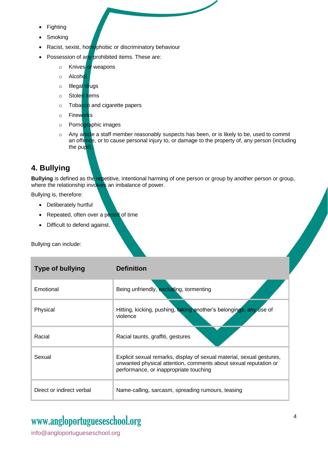- **Fighting**
- **Smoking**
- Racist, sexist, homophobic or discriminatory behaviour
- Possession of any prohibited items. These are:
	- o Knives or weapons
	- o Alcohol
	- o Illegal drugs
	- o Stolen items
	- o Tobacco and cigarette papers
	- o Fireworks
	- o Pornographic images
	- $\circ$  Any article a staff member reasonably suspects has been, or is likely to be, used to commit an offence, or to cause personal injury to, or damage to the property of, any person (including the pupil).

## **4. Bullying**

**Bullying** is defined as the repetitive, intentional harming of one person or group by another person or group, where the relationship involves an imbalance of power.

Bullying is, therefore:

- Deliberately hurtful
- Repeated, often over a period of time
- Difficult to defend against.

Bullying can include:

| <b>Type of bullying</b>   | <b>Definition</b>                                                                                                                                                                   |
|---------------------------|-------------------------------------------------------------------------------------------------------------------------------------------------------------------------------------|
| Emotional                 | Being unfriendly, excluding, tormenting                                                                                                                                             |
| Physical                  | Hitting, kicking, pushing, taking another's belongings, any use of<br>violence                                                                                                      |
| Racial                    | Racial taunts, graffiti, gestures                                                                                                                                                   |
| Sexual                    | Explicit sexual remarks, display of sexual material, sexual gestures,<br>unwanted physical attention, comments about sexual reputation or<br>performance, or inappropriate touching |
| Direct or indirect verbal | Name-calling, sarcasm, spreading rumours, teasing                                                                                                                                   |

## www[.angloportugueseschool.org](https://angloportugueseschool.org/)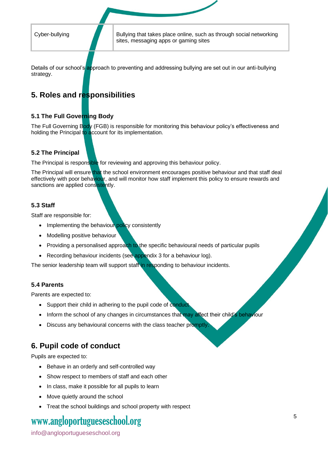Cyber-bullying **Bullying that takes place online, such as through social networking** sites, messaging apps or gaming sites

Details of our school's approach to preventing and addressing bullying are set out in our anti-bullying strategy.

## **5. Roles and responsibilities**

#### **5.1 The Full Governing Body**

The Full Governing Body (FGB) is responsible for monitoring this behaviour policy's effectiveness and holding the Principal to account for its implementation.

#### **5.2 The Principal**

The Principal is responsible for reviewing and approving this behaviour policy.

The Principal will ensure that the school environment encourages positive behaviour and that staff deal effectively with poor behaviour, and will monitor how staff implement this policy to ensure rewards and sanctions are applied consistently.

#### **5.3 Staff**

Staff are responsible for:

- Implementing the behaviour policy consistently
- Modelling positive behaviour
- Providing a personalised approach to the specific behavioural needs of particular pupils
- Recording behaviour incidents (see appendix 3 for a behaviour log).

The senior leadership team will support staff in responding to behaviour incidents.

#### **5.4 Parents**

Parents are expected to:

- Support their child in adhering to the pupil code of conduct
- Inform the school of any changes in circumstances that may affect their child's behaviour
- Discuss any behavioural concerns with the class teacher promptly

### **6. Pupil code of conduct**

Pupils are expected to:

- Behave in an orderly and self-controlled way
- Show respect to members of staff and each other
- In class, make it possible for all pupils to learn
- Move quietly around the school
- Treat the school buildings and school property with respect

## www[.angloportugueseschool.org](https://angloportugueseschool.org/)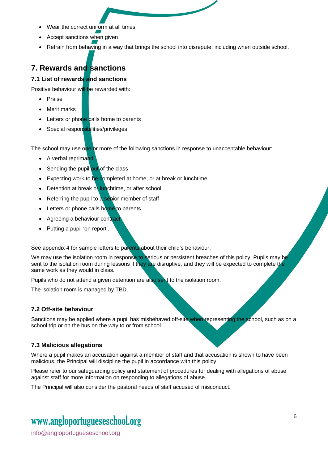- Wear the correct uniform at all times
- Accept sanctions when given
- Refrain from behaving in a way that brings the school into disrepute, including when outside school.

## **7. Rewards and sanctions**

#### **7.1 List of rewards and sanctions**

Positive behaviour will be rewarded with:

- **Praise**
- Merit marks
- Letters or phone calls home to parents
- Special responsibilities/privileges.

The school may use one or more of the following sanctions in response to unacceptable behaviour:

- A verbal reprimand
- Sending the pupil out of the class
- Expecting work to be completed at home, or at break or lunchtime
- Detention at break or lunchtime, or after school
- Referring the pupil to a senior member of staff
- Letters or phone calls home to parents
- Agreeing a behaviour contract
- Putting a pupil 'on report'.

See appendix 4 for sample letters to parents about their child's behaviour.

We may use the isolation room in response to serious or persistent breaches of this policy. Pupils may be sent to the isolation room during lessons if they are disruptive, and they will be expected to complete the same work as they would in class.

Pupils who do not attend a given detention are also sent to the isolation room.

The isolation room is managed by TBD.

#### **7.2 Off-site behaviour**

Sanctions may be applied where a pupil has misbehaved off-site when representing the school, such as on a school trip or on the bus on the way to or from school.

#### **7.3 Malicious allegations**

Where a pupil makes an accusation against a member of staff and that accusation is shown to have been malicious, the Principal will discipline the pupil in accordance with this policy.

Please refer to our safeguarding policy and statement of procedures for dealing with allegations of abuse against staff for more information on responding to allegations of abuse.

The Principal will also consider the pastoral needs of staff accused of misconduct.

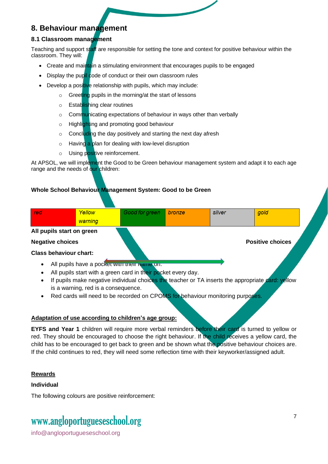### **8. Behaviour management**

#### **8.1 Classroom management**

Teaching and support staff are responsible for setting the tone and context for positive behaviour within the classroom. They will:

- Create and maintain a stimulating environment that encourages pupils to be engaged
- Display the pupil code of conduct or their own classroom rules
- Develop a positive relationship with pupils, which may include:
	- o Greeting pupils in the morning/at the start of lessons
	- o Establishing clear routines
	- o Communicating expectations of behaviour in ways other than verbally
	- o Highlighting and promoting good behaviour
	- o Concluding the day positively and starting the next day afresh
	- $\circ$  Having a plan for dealing with low-level disruption
	- o Using positive reinforcement.

At APSOL, we will implement the Good to be Green behaviour management system and adapt it to each age range and the needs of our children:

#### **Whole School Behaviour Management System: Good to be Green**

| red                           | Yellow  | Good for green | bronze | silver | gold                    |  |
|-------------------------------|---------|----------------|--------|--------|-------------------------|--|
|                               | warning |                |        |        |                         |  |
| All pupils start on green     |         |                |        |        |                         |  |
| <b>Negative choices</b>       |         |                |        |        | <b>Positive choices</b> |  |
| <b>Class behaviour chart:</b> |         |                |        |        |                         |  |

- All pupils have a pocket with their name on.
- All pupils start with a green card in their pocket every day.
- If pupils make negative individual choices the teacher or TA inserts the appropriate card: yellow is a warning, red is a consequence.
- Red cards will need to be recorded on CPOMS for behaviour monitoring purposes.

#### **Adaptation of use according to children's age group:**

**EYFS and Year 1** children will require more verbal reminders before their card is turned to yellow or red. They should be encouraged to choose the right behaviour. If the child receives a yellow card, the child has to be encouraged to get back to green and be shown what the positive behaviour choices are. If the child continues to red, they will need some reflection time with their keyworker/assigned adult.

#### **Rewards**

#### **Individual**

The following colours are positive reinforcement:

## www[.angloportugueseschool.org](https://angloportugueseschool.org/)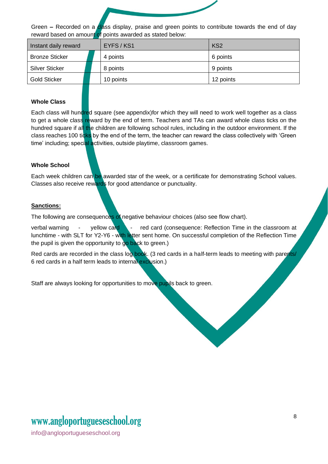

Green - Recorded on a class display, praise and green points to contribute towards the end of day reward based on amount of points awarded as stated below:

| Instant daily reward  | EYFS / KS1 | KS <sub>2</sub> |
|-----------------------|------------|-----------------|
| <b>Bronze Sticker</b> | 4 points   | 6 points        |
| <b>Silver Sticker</b> | 8 points   | 9 points        |
| <b>Gold Sticker</b>   | 10 points  | 12 points       |

#### **Whole Class**

Each class will hundred square (see appendix)for which they will need to work well together as a class to get a whole class reward by the end of term. Teachers and TAs can award whole class ticks on the hundred square if all the children are following school rules, including in the outdoor environment. If the class reaches 100 ticks by the end of the term, the teacher can reward the class collectively with 'Green time' including; special activities, outside playtime, classroom games.

#### **Whole School**

Each week children can be awarded star of the week, or a certificate for demonstrating School values. Classes also receive rewards for good attendance or punctuality.

#### **Sanctions:**

The following are consequences of negative behaviour choices (also see flow chart).

verbal warning  $\qquad$ -yellow card  $\qquad$ - red card (consequence: Reflection Time in the classroom at lunchtime - with SLT for Y2-Y6 - with letter sent home. On successful completion of the Reflection Time the pupil is given the opportunity to go back to green.)

Red cards are recorded in the class log book. (3 red cards in a half-term leads to meeting with parents/ 6 red cards in a half term leads to internal exclusion.)

Staff are always looking for opportunities to move pupils back to green.

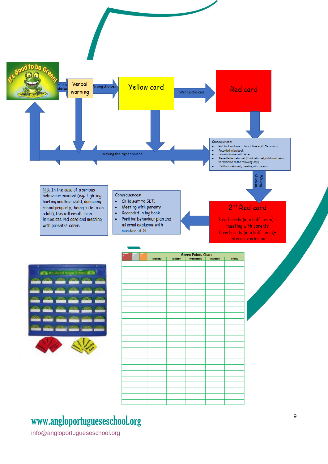

## www[.angloportugueseschool.org](https://angloportugueseschool.org/)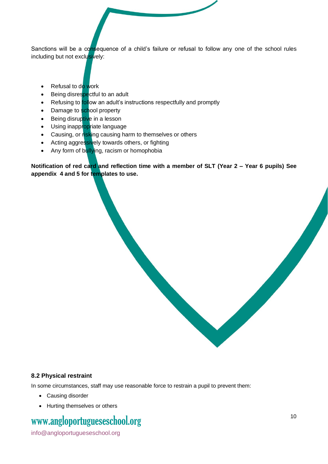Sanctions will be a consequence of a child's failure or refusal to follow any one of the school rules including but not exclusively:

- Refusal to do work
- Being disrespectful to an adult
- Refusing to follow an adult's instructions respectfully and promptly
- Damage to school property
- Being disruptive in a lesson
- Using inappropriate language
- Causing, or risking causing harm to themselves or others
- Acting aggressively towards others, or fighting
- Any form of bullying, racism or homophobia

**Notification of red card and reflection time with a member of SLT (Year 2 – Year 6 pupils) See appendix 4 and 5 for templates to use.** 

#### **8.2 Physical restraint**

In some circumstances, staff may use reasonable force to restrain a pupil to prevent them:

- Causing disorder
- Hurting themselves or others

## www[.angloportugueseschool.org](https://angloportugueseschool.org/)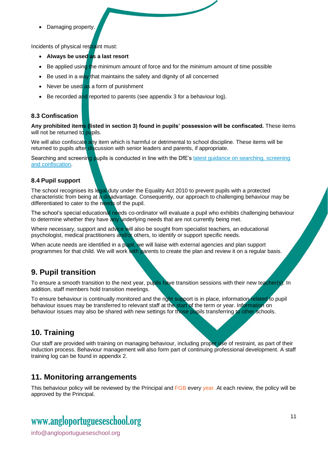• Damaging property.

Incidents of physical restraint must:

- **Always be used as a last resort**
- Be applied using the minimum amount of force and for the minimum amount of time possible
- Be used in a way that maintains the safety and dignity of all concerned
- Never be used as a form of punishment
- Be recorded and reported to parents (see appendix 3 for a behaviour log).

#### **8.3 Confiscation**

**Any prohibited items (listed in section 3) found in pupils' possession will be confiscated.** These items will not be returned to pupils.

We will also confiscate any item which is harmful or detrimental to school discipline. These items will be returned to pupils after discussion with senior leaders and parents, if appropriate.

Searching and screening pupils is conducted in line with the DfE's latest guidance on searching, screening [and confiscation.](https://www.gov.uk/government/publications/searching-screening-and-confiscation)

#### **8.4 Pupil support**

The school recognises its legal duty under the Equality Act 2010 to prevent pupils with a protected characteristic from being at a disadvantage. Consequently, our approach to challenging behaviour may be differentiated to cater to the needs of the pupil.

The school's special educational needs co-ordinator will evaluate a pupil who exhibits challenging behaviour to determine whether they have any underlying needs that are not currently being met.

Where necessary, support and advice will also be sought from specialist teachers, an educational psychologist, medical practitioners and/or others, to identify or support specific needs.

When acute needs are identified in a pupil, we will liaise with external agencies and plan support programmes for that child. We will work with parents to create the plan and review it on a regular basis.

## **9. Pupil transition**

To ensure a smooth transition to the next year, pupils have transition sessions with their new teacher(s). In addition, staff members hold transition meetings.

To ensure behaviour is continually monitored and the right support is in place, information related to pupil behaviour issues may be transferred to relevant staff at the start of the term or year. Information on behaviour issues may also be shared with new settings for those pupils transferring to other schools.

## **10. Training**

Our staff are provided with training on managing behaviour, including proper use of restraint, as part of their induction process. Behaviour management will also form part of continuing professional development. A staff training log can be found in appendix 2.

## **11. Monitoring arrangements**

This behaviour policy will be reviewed by the Principal and FGB every year. At each review, the policy will be approved by the Principal.

## www[.angloportugueseschool.org](https://angloportugueseschool.org/)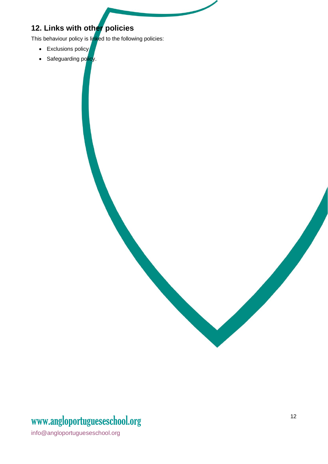## **12. Links with other policies**

This behaviour policy is linked to the following policies:

- Exclusions policy
- Safeguarding policy.

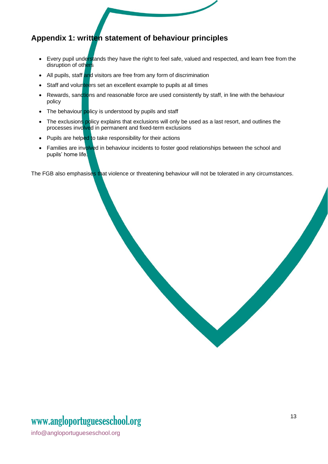## **Appendix 1: written statement of behaviour principles**

- Every pupil understands they have the right to feel safe, valued and respected, and learn free from the disruption of others
- All pupils, staff and visitors are free from any form of discrimination
- Staff and volunteers set an excellent example to pupils at all times
- Rewards, sanctions and reasonable force are used consistently by staff, in line with the behaviour policy
- The behaviour policy is understood by pupils and staff
- The exclusions policy explains that exclusions will only be used as a last resort, and outlines the processes involved in permanent and fixed-term exclusions
- Pupils are helped to take responsibility for their actions
- Families are involved in behaviour incidents to foster good relationships between the school and pupils' home life.

The FGB also emphasises that violence or threatening behaviour will not be tolerated in any circumstances.

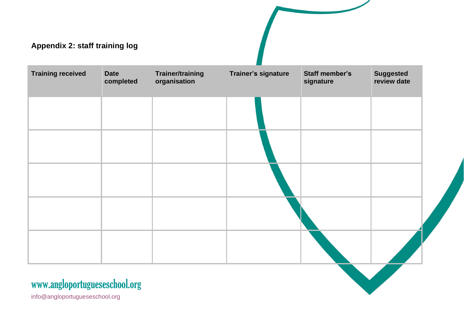| Appendix 2: staff training log |                          |                                         |                     |                                    |                                 |
|--------------------------------|--------------------------|-----------------------------------------|---------------------|------------------------------------|---------------------------------|
| <b>Training received</b>       | <b>Date</b><br>completed | <b>Trainer/training</b><br>organisation | Trainer's signature | <b>Staff member's</b><br>signature | <b>Suggested</b><br>review date |
|                                |                          |                                         |                     |                                    |                                 |
|                                |                          |                                         |                     |                                    |                                 |
|                                |                          |                                         |                     |                                    |                                 |
|                                |                          |                                         |                     |                                    |                                 |
|                                |                          |                                         |                     |                                    |                                 |
| www.angloportugueseschool.org  |                          |                                         |                     |                                    |                                 |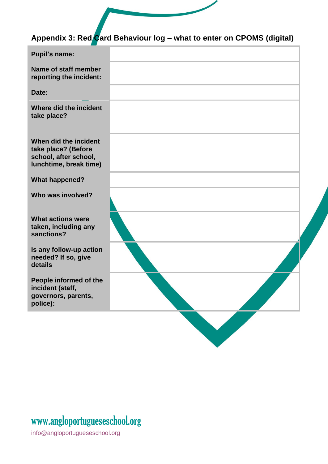# **Appendix 3: Red Card Behaviour log – what to enter on CPOMS (digital)**

| <b>Pupil's name:</b>                                                                            |  |
|-------------------------------------------------------------------------------------------------|--|
| Name of staff member<br>reporting the incident:                                                 |  |
| Date:                                                                                           |  |
| Where did the incident<br>take place?                                                           |  |
| When did the incident<br>take place? (Before<br>school, after school,<br>lunchtime, break time) |  |
| <b>What happened?</b>                                                                           |  |
| Who was involved?                                                                               |  |
| <b>What actions were</b><br>taken, including any<br>sanctions?                                  |  |
| Is any follow-up action<br>needed? If so, give<br>details                                       |  |
| People informed of the<br>incident (staff,<br>governors, parents,<br>police):                   |  |
|                                                                                                 |  |

## www[.angloportugueseschool.org](https://angloportugueseschool.org/)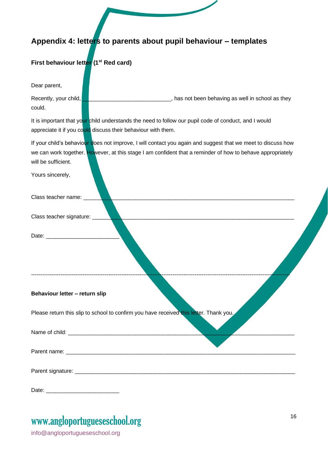## **Appendix 4: letters to parents about pupil behaviour – templates**

#### **First behaviour letter (1st Red card)**

Dear parent,

Recently, your child, **EXECUTE:** Assume that the solution of the behaving as well in school as they could.

It is important that your child understands the need to follow our pupil code of conduct, and I would appreciate it if you could discuss their behaviour with them.

If your child's behaviour does not improve, I will contact you again and suggest that we meet to discuss how we can work together. However, at this stage I am confident that a reminder of how to behave appropriately will be sufficient.

Yours sincerely,

| Class teacher name: Value                                                              |
|----------------------------------------------------------------------------------------|
| Class teacher signature: _____                                                         |
|                                                                                        |
| Behaviour letter - return slip                                                         |
| Please return this slip to school to confirm you have received this letter. Thank you, |
|                                                                                        |
|                                                                                        |
|                                                                                        |

Date:

## www[.angloportugueseschool.org](https://angloportugueseschool.org/)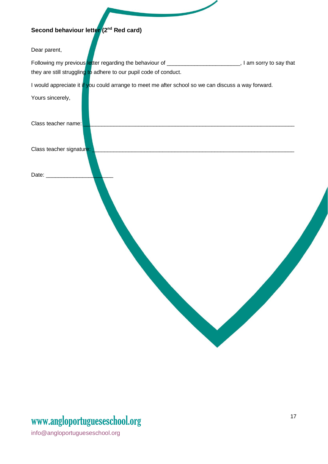## **Second behaviour letter (2nd Red card)**

Dear parent,

| Following my previous letter regarding the behaviour of           | I am sorry to say that |
|-------------------------------------------------------------------|------------------------|
| they are still struggling to adhere to our pupil code of conduct. |                        |

I would appreciate it if you could arrange to meet me after school so we can discuss a way forward.

Yours sincerely,

| Class teacher name:      |  |  |
|--------------------------|--|--|
| Class teacher signature: |  |  |
| Date:                    |  |  |
|                          |  |  |

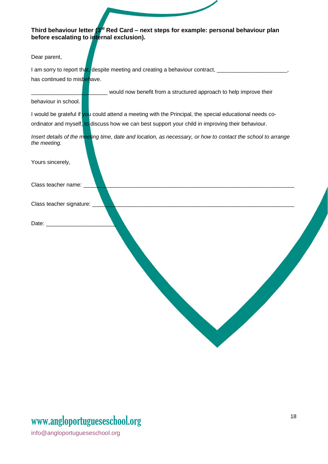#### **Third behaviour letter (3rd Red Card – next steps for example: personal behaviour plan before escalating to internal exclusion).**

Dear parent,

I am sorry to report that, despite meeting and creating a behaviour contract, has continued to misbehave.

\_\_\_\_\_\_\_\_\_\_\_\_\_\_\_\_\_\_\_\_\_\_\_\_\_ would now benefit from a structured approach to help improve their

#### behaviour in school.

I would be grateful if you could attend a meeting with the Principal, the special educational needs coordinator and myself, to discuss how we can best support your child in improving their behaviour.

*Insert details of the meeting time, date and location, as necessary, or how to contact the school to arrange the meeting.*

| Yours sincerely,            |  |  |
|-----------------------------|--|--|
| Class teacher name: ___     |  |  |
| Class teacher signature: __ |  |  |
| Date: ___________           |  |  |
|                             |  |  |
|                             |  |  |
|                             |  |  |
|                             |  |  |
|                             |  |  |
|                             |  |  |

## www[.angloportugueseschool.org](https://angloportugueseschool.org/)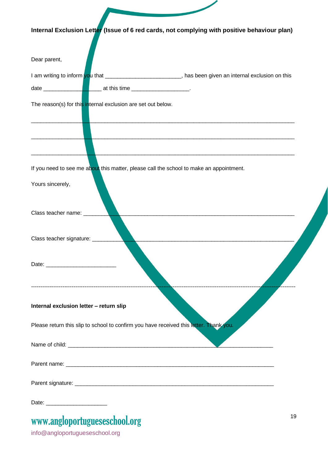| Internal Exclusion Letter (Issue of 6 red cards, not complying with positive behaviour plan)                |    |
|-------------------------------------------------------------------------------------------------------------|----|
|                                                                                                             |    |
| Dear parent,                                                                                                |    |
| I am writing to inform you that _____________________________, has been given an internal exclusion on this |    |
|                                                                                                             |    |
| The reason(s) for this internal exclusion are set out below.                                                |    |
|                                                                                                             |    |
| If you need to see me about this matter, please call the school to make an appointment.                     |    |
| Yours sincerely,                                                                                            |    |
| Class teacher name: __                                                                                      |    |
| Class teacher signature: ______                                                                             |    |
|                                                                                                             |    |
| Internal exclusion letter - return slip                                                                     |    |
| Please return this slip to school to confirm you have received this letter. Thank you.                      |    |
|                                                                                                             |    |
|                                                                                                             |    |
|                                                                                                             |    |
|                                                                                                             |    |
| www.angloportugueseschool.org                                                                               | 19 |